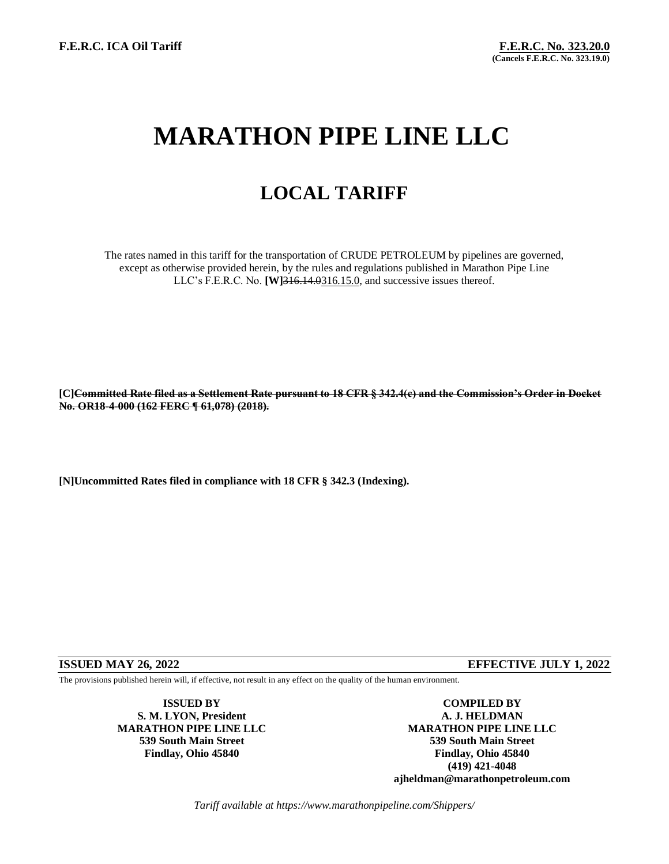# **MARATHON PIPE LINE LLC**

## **LOCAL TARIFF**

The rates named in this tariff for the transportation of CRUDE PETROLEUM by pipelines are governed, except as otherwise provided herein, by the rules and regulations published in Marathon Pipe Line LLC's F.E.R.C. No. **[W]**316.14.0316.15.0, and successive issues thereof.

**[C]Committed Rate filed as a Settlement Rate pursuant to 18 CFR § 342.4(c) and the Commission's Order in Docket No. OR18-4-000 (162 FERC ¶ 61,078) (2018).**

**[N]Uncommitted Rates filed in compliance with 18 CFR § 342.3 (Indexing).**

### **ISSUED MAY 26, 2022 EFFECTIVE JULY 1, 2022**

The provisions published herein will, if effective, not result in any effect on the quality of the human environment.

**S. M. LYON, President A. J. HELDMAN**

**ISSUED BY COMPILED BY MARATHON PIPE LINE LLC MARATHON PIPE LINE LLC 539 South Main Street 539 South Main Street Findlay, Ohio 45840 Findlay, Ohio 45840 (419) 421-4048 ajheldman@marathonpetroleum.com**

*Tariff available at https://www.marathonpipeline.com/Shippers/*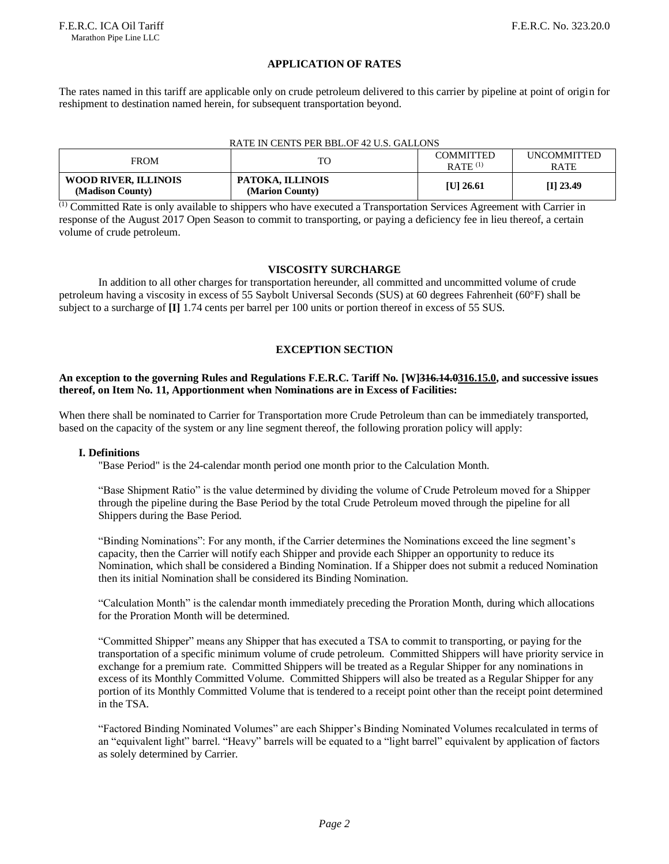#### **APPLICATION OF RATES**

The rates named in this tariff are applicable only on crude petroleum delivered to this carrier by pipeline at point of origin for reshipment to destination named herein, for subsequent transportation beyond.

#### RATE IN CENTS PER BBL.OF 42 U.S. GALLONS

| <b>FROM</b>                              |                                     | COMMITTED<br>$RATE$ <sup>(1)</sup> | <b>UNCOMMITTED</b><br>RATE |
|------------------------------------------|-------------------------------------|------------------------------------|----------------------------|
| WOOD RIVER, ILLINOIS<br>(Madison County) | PATOKA, ILLINOIS<br>(Marion County) | [U] 26.61                          | $[I]$ 23.49                |

 $\overline{^{(1)}}$  Committed Rate is only available to shippers who have executed a Transportation Services Agreement with Carrier in response of the August 2017 Open Season to commit to transporting, or paying a deficiency fee in lieu thereof, a certain volume of crude petroleum.

#### **VISCOSITY SURCHARGE**

In addition to all other charges for transportation hereunder, all committed and uncommitted volume of crude petroleum having a viscosity in excess of 55 Saybolt Universal Seconds (SUS) at 60 degrees Fahrenheit (60°F) shall be subject to a surcharge of **[I]** 1.74 cents per barrel per 100 units or portion thereof in excess of 55 SUS.

#### **EXCEPTION SECTION**

#### **An exception to the governing Rules and Regulations F.E.R.C. Tariff No. [W]316.14.0316.15.0, and successive issues thereof, on Item No. 11, Apportionment when Nominations are in Excess of Facilities:**

When there shall be nominated to Carrier for Transportation more Crude Petroleum than can be immediately transported, based on the capacity of the system or any line segment thereof, the following proration policy will apply:

#### **I. Definitions**

"Base Period" is the 24-calendar month period one month prior to the Calculation Month.

"Base Shipment Ratio" is the value determined by dividing the volume of Crude Petroleum moved for a Shipper through the pipeline during the Base Period by the total Crude Petroleum moved through the pipeline for all Shippers during the Base Period.

"Binding Nominations": For any month, if the Carrier determines the Nominations exceed the line segment's capacity, then the Carrier will notify each Shipper and provide each Shipper an opportunity to reduce its Nomination, which shall be considered a Binding Nomination. If a Shipper does not submit a reduced Nomination then its initial Nomination shall be considered its Binding Nomination.

"Calculation Month" is the calendar month immediately preceding the Proration Month, during which allocations for the Proration Month will be determined.

"Committed Shipper" means any Shipper that has executed a TSA to commit to transporting, or paying for the transportation of a specific minimum volume of crude petroleum. Committed Shippers will have priority service in exchange for a premium rate. Committed Shippers will be treated as a Regular Shipper for any nominations in excess of its Monthly Committed Volume. Committed Shippers will also be treated as a Regular Shipper for any portion of its Monthly Committed Volume that is tendered to a receipt point other than the receipt point determined in the TSA.

"Factored Binding Nominated Volumes" are each Shipper's Binding Nominated Volumes recalculated in terms of an "equivalent light" barrel. "Heavy" barrels will be equated to a "light barrel" equivalent by application of factors as solely determined by Carrier.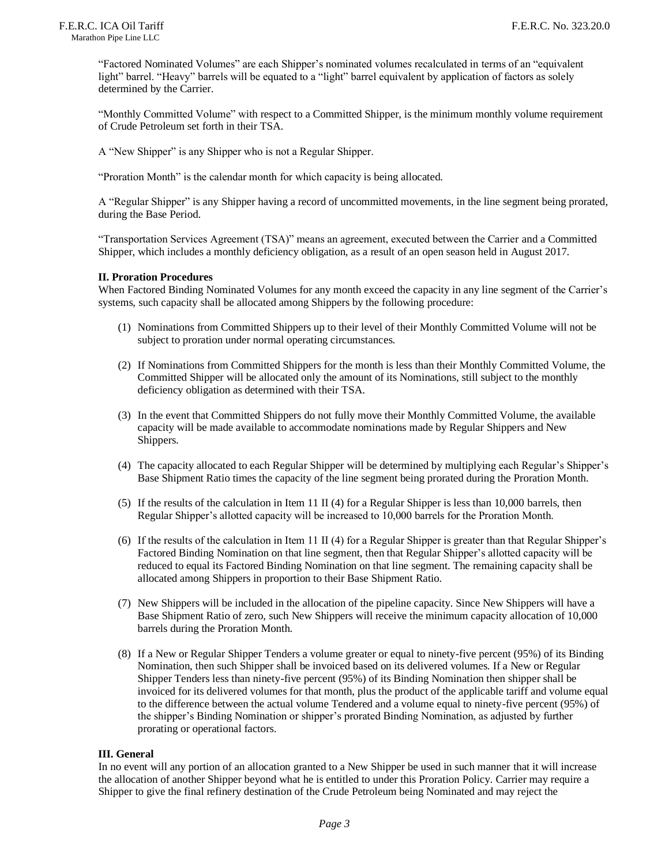"Factored Nominated Volumes" are each Shipper's nominated volumes recalculated in terms of an "equivalent light" barrel. "Heavy" barrels will be equated to a "light" barrel equivalent by application of factors as solely determined by the Carrier.

"Monthly Committed Volume" with respect to a Committed Shipper, is the minimum monthly volume requirement of Crude Petroleum set forth in their TSA.

A "New Shipper" is any Shipper who is not a Regular Shipper.

"Proration Month" is the calendar month for which capacity is being allocated.

A "Regular Shipper" is any Shipper having a record of uncommitted movements, in the line segment being prorated, during the Base Period.

"Transportation Services Agreement (TSA)" means an agreement, executed between the Carrier and a Committed Shipper, which includes a monthly deficiency obligation, as a result of an open season held in August 2017.

#### **II. Proration Procedures**

When Factored Binding Nominated Volumes for any month exceed the capacity in any line segment of the Carrier's systems, such capacity shall be allocated among Shippers by the following procedure:

- (1) Nominations from Committed Shippers up to their level of their Monthly Committed Volume will not be subject to proration under normal operating circumstances.
- (2) If Nominations from Committed Shippers for the month is less than their Monthly Committed Volume, the Committed Shipper will be allocated only the amount of its Nominations, still subject to the monthly deficiency obligation as determined with their TSA.
- (3) In the event that Committed Shippers do not fully move their Monthly Committed Volume, the available capacity will be made available to accommodate nominations made by Regular Shippers and New Shippers.
- (4) The capacity allocated to each Regular Shipper will be determined by multiplying each Regular's Shipper's Base Shipment Ratio times the capacity of the line segment being prorated during the Proration Month.
- (5) If the results of the calculation in Item 11 II (4) for a Regular Shipper is less than 10,000 barrels, then Regular Shipper's allotted capacity will be increased to 10,000 barrels for the Proration Month.
- (6) If the results of the calculation in Item 11 II (4) for a Regular Shipper is greater than that Regular Shipper's Factored Binding Nomination on that line segment, then that Regular Shipper's allotted capacity will be reduced to equal its Factored Binding Nomination on that line segment. The remaining capacity shall be allocated among Shippers in proportion to their Base Shipment Ratio.
- (7) New Shippers will be included in the allocation of the pipeline capacity. Since New Shippers will have a Base Shipment Ratio of zero, such New Shippers will receive the minimum capacity allocation of 10,000 barrels during the Proration Month.
- (8) If a New or Regular Shipper Tenders a volume greater or equal to ninety-five percent (95%) of its Binding Nomination, then such Shipper shall be invoiced based on its delivered volumes. If a New or Regular Shipper Tenders less than ninety-five percent (95%) of its Binding Nomination then shipper shall be invoiced for its delivered volumes for that month, plus the product of the applicable tariff and volume equal to the difference between the actual volume Tendered and a volume equal to ninety-five percent (95%) of the shipper's Binding Nomination or shipper's prorated Binding Nomination, as adjusted by further prorating or operational factors.

#### **III. General**

In no event will any portion of an allocation granted to a New Shipper be used in such manner that it will increase the allocation of another Shipper beyond what he is entitled to under this Proration Policy. Carrier may require a Shipper to give the final refinery destination of the Crude Petroleum being Nominated and may reject the